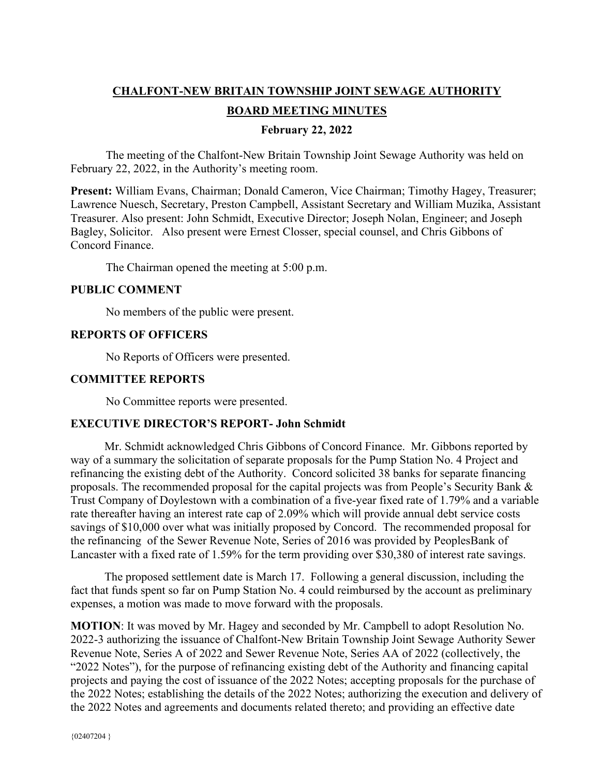# **CHALFONT-NEW BRITAIN TOWNSHIP JOINT SEWAGE AUTHORITY**

# **BOARD MEETING MINUTES**

## **February 22, 2022**

The meeting of the Chalfont-New Britain Township Joint Sewage Authority was held on February 22, 2022, in the Authority's meeting room.

**Present:** William Evans, Chairman; Donald Cameron, Vice Chairman; Timothy Hagey, Treasurer; Lawrence Nuesch, Secretary, Preston Campbell, Assistant Secretary and William Muzika, Assistant Treasurer. Also present: John Schmidt, Executive Director; Joseph Nolan, Engineer; and Joseph Bagley, Solicitor. Also present were Ernest Closser, special counsel, and Chris Gibbons of Concord Finance.

The Chairman opened the meeting at 5:00 p.m.

### **PUBLIC COMMENT**

No members of the public were present.

### **REPORTS OF OFFICERS**

No Reports of Officers were presented.

### **COMMITTEE REPORTS**

No Committee reports were presented.

# **EXECUTIVE DIRECTOR'S REPORT- John Schmidt**

 Mr. Schmidt acknowledged Chris Gibbons of Concord Finance. Mr. Gibbons reported by way of a summary the solicitation of separate proposals for the Pump Station No. 4 Project and refinancing the existing debt of the Authority. Concord solicited 38 banks for separate financing proposals. The recommended proposal for the capital projects was from People's Security Bank & Trust Company of Doylestown with a combination of a five-year fixed rate of 1.79% and a variable rate thereafter having an interest rate cap of 2.09% which will provide annual debt service costs savings of \$10,000 over what was initially proposed by Concord. The recommended proposal for the refinancing of the Sewer Revenue Note, Series of 2016 was provided by PeoplesBank of Lancaster with a fixed rate of 1.59% for the term providing over \$30,380 of interest rate savings.

 The proposed settlement date is March 17. Following a general discussion, including the fact that funds spent so far on Pump Station No. 4 could reimbursed by the account as preliminary expenses, a motion was made to move forward with the proposals.

**MOTION**: It was moved by Mr. Hagey and seconded by Mr. Campbell to adopt Resolution No. 2022-3 authorizing the issuance of Chalfont-New Britain Township Joint Sewage Authority Sewer Revenue Note, Series A of 2022 and Sewer Revenue Note, Series AA of 2022 (collectively, the "2022 Notes"), for the purpose of refinancing existing debt of the Authority and financing capital projects and paying the cost of issuance of the 2022 Notes; accepting proposals for the purchase of the 2022 Notes; establishing the details of the 2022 Notes; authorizing the execution and delivery of the 2022 Notes and agreements and documents related thereto; and providing an effective date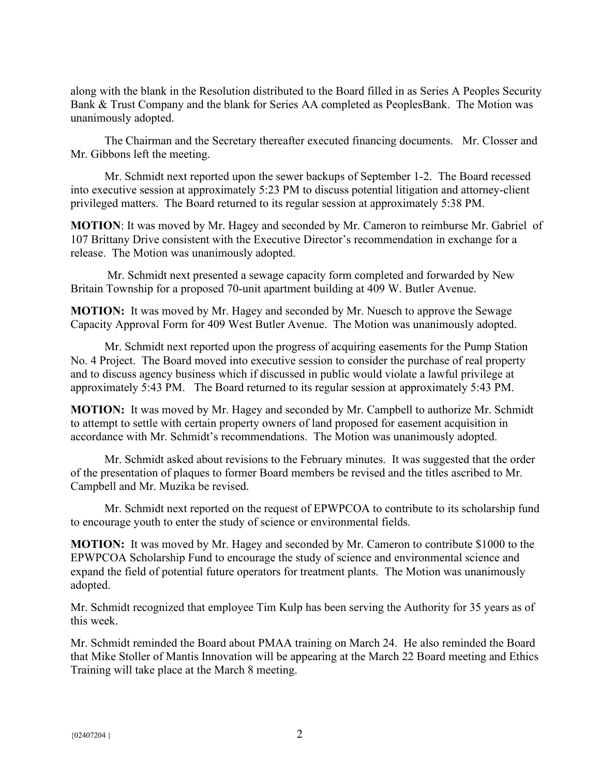along with the blank in the Resolution distributed to the Board filled in as Series A Peoples Security Bank & Trust Company and the blank for Series AA completed as PeoplesBank. The Motion was unanimously adopted.

 The Chairman and the Secretary thereafter executed financing documents. Mr. Closser and Mr. Gibbons left the meeting.

 Mr. Schmidt next reported upon the sewer backups of September 1-2. The Board recessed into executive session at approximately 5:23 PM to discuss potential litigation and attorney-client privileged matters. The Board returned to its regular session at approximately 5:38 PM.

**MOTION**: It was moved by Mr. Hagey and seconded by Mr. Cameron to reimburse Mr. Gabriel of 107 Brittany Drive consistent with the Executive Director's recommendation in exchange for a release. The Motion was unanimously adopted.

 Mr. Schmidt next presented a sewage capacity form completed and forwarded by New Britain Township for a proposed 70-unit apartment building at 409 W. Butler Avenue.

**MOTION:** It was moved by Mr. Hagey and seconded by Mr. Nuesch to approve the Sewage Capacity Approval Form for 409 West Butler Avenue. The Motion was unanimously adopted.

 Mr. Schmidt next reported upon the progress of acquiring easements for the Pump Station No. 4 Project. The Board moved into executive session to consider the purchase of real property and to discuss agency business which if discussed in public would violate a lawful privilege at approximately 5:43 PM. The Board returned to its regular session at approximately 5:43 PM.

**MOTION:** It was moved by Mr. Hagey and seconded by Mr. Campbell to authorize Mr. Schmidt to attempt to settle with certain property owners of land proposed for easement acquisition in accordance with Mr. Schmidt's recommendations. The Motion was unanimously adopted.

 Mr. Schmidt asked about revisions to the February minutes. It was suggested that the order of the presentation of plaques to former Board members be revised and the titles ascribed to Mr. Campbell and Mr. Muzika be revised.

 Mr. Schmidt next reported on the request of EPWPCOA to contribute to its scholarship fund to encourage youth to enter the study of science or environmental fields.

**MOTION:** It was moved by Mr. Hagey and seconded by Mr. Cameron to contribute \$1000 to the EPWPCOA Scholarship Fund to encourage the study of science and environmental science and expand the field of potential future operators for treatment plants. The Motion was unanimously adopted.

Mr. Schmidt recognized that employee Tim Kulp has been serving the Authority for 35 years as of this week.

Mr. Schmidt reminded the Board about PMAA training on March 24. He also reminded the Board that Mike Stoller of Mantis Innovation will be appearing at the March 22 Board meeting and Ethics Training will take place at the March 8 meeting.